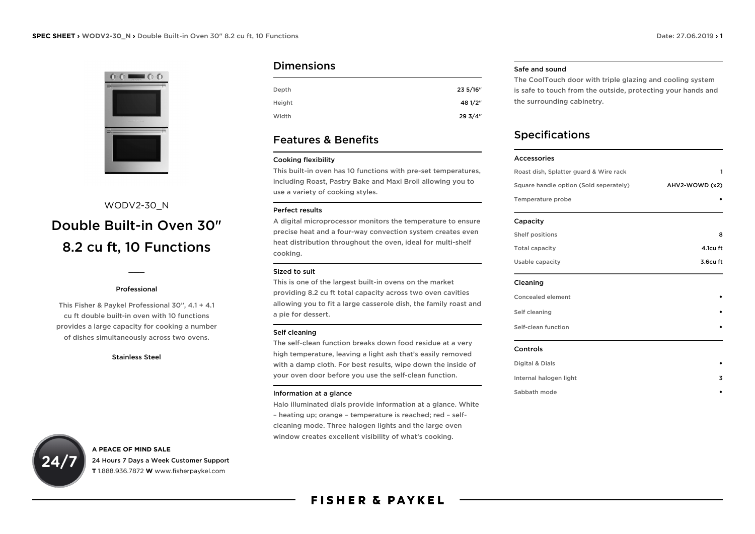

# WODV2-30\_N Double Built-in Oven 30" 8.2 cu ft, 10 Functions

## Professional

 $\overline{\phantom{a}}$ 

This Fisher & Paykel Professional 30", 4.1 + 4.1 cu ft double built-in oven with 10 functions provides a large capacity for cooking a number of dishes simultaneously across two ovens.

#### Stainless Steel

# Dimensions

| Depth  | 23 5/16" |
|--------|----------|
| Height | 48 1/2"  |
| Width  | 293/4"   |

# Features & Benefits

## Cooking flexibility

This built-in oven has 10 functions with pre-set temperatures, including Roast, Pastry Bake and Maxi Broil allowing you to use a variety of cooking styles.

## Perfect results

A digital microprocessor monitors the temperature to ensure precise heat and a four-way convection system creates even heat distribution throughout the oven, ideal for multi-shelf cooking.

## Sized to suit

This is one of the largest built-in ovens on the market providing 8.2 cu ft total capacity across two oven cavities allowing you to fit a large casserole dish, the family roast and a pie for dessert.

#### Self cleaning

The self-clean function breaks down food residue at a very high temperature, leaving a light ash that's easily removed with a damp cloth. For best results, wipe down the inside of your oven door before you use the self-clean function.

#### Information at a glance

Halo illuminated dials provide information at a glance. White – heating up; orange – temperature is reached; red – selfcleaning mode. Three halogen lights and the large oven window creates excellent visibility of what's cooking.

#### Safe and sound

The CoolTouch door with triple glazing and cooling system is safe to touch from the outside, protecting your hands and the surrounding cabinetry.

# Specifications

#### Accessories

| Roast dish, Splatter guard & Wire rack | 1<br>AHV2-WOWD (x2) |
|----------------------------------------|---------------------|
| Square handle option (Sold seperately) |                     |
| Temperature probe                      |                     |
| Capacity                               |                     |
| Shelf positions                        | 8                   |
| <b>Total capacity</b>                  | 4.1cu ft            |
| Usable capacity                        | 3.6cu ft            |
| Cleaning                               |                     |
| <b>Concealed element</b>               |                     |
| Self cleaning                          |                     |
| Self-clean function                    |                     |
| Controls                               |                     |
| Digital & Dials                        |                     |
| Internal halogen light                 | 3                   |
| Sabbath mode                           |                     |



**A PEACE OF MIND SALE** 24 Hours 7 Days a Week Customer Support **T** 1.888.936.7872 **W** www.fisherpaykel.com